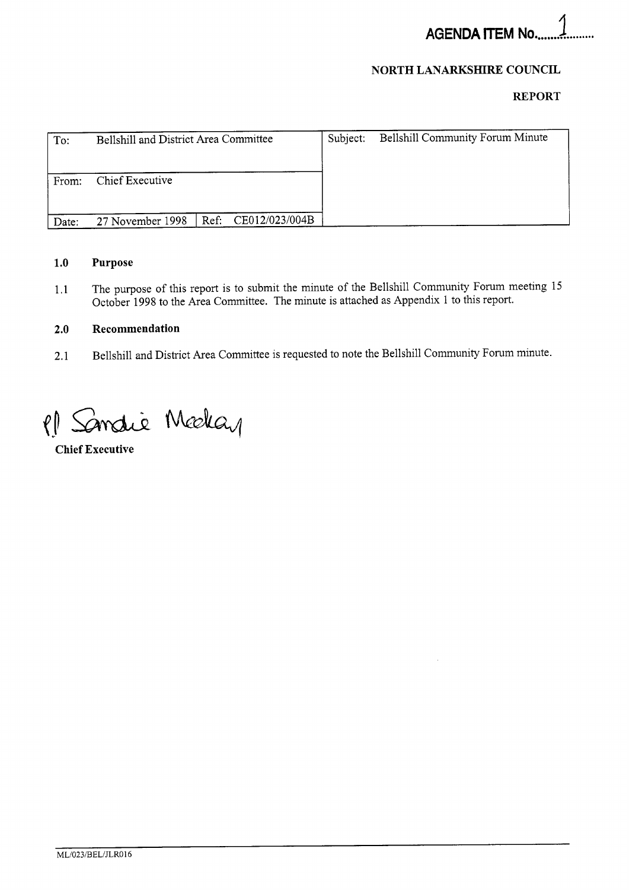# **NORTH LANARKSHIRE COUNCIL**

# **REPORT**

| To:   | Bellshill and District Area Committee |  |                     | Subject: | <b>Bellshill Community Forum Minute</b> |
|-------|---------------------------------------|--|---------------------|----------|-----------------------------------------|
| From: | Chief Executive                       |  |                     |          |                                         |
| Date: | 27 November 1998                      |  | Ref: CE012/023/004B |          |                                         |

# **1.0 Purpose**

1.1 The purpose of this report is to submit the minute of the Bellshill Community Forum meeting 15 October 1998 to the Area Committee. The minute is attached as Appendix 1 to this report.

## **2.0 Recommendation**

2.1 Bellshill and District Area Committee is requested to note the Bellshill Community Forum minute.

Sandie Median  $\ell$ 

**Chief Executive**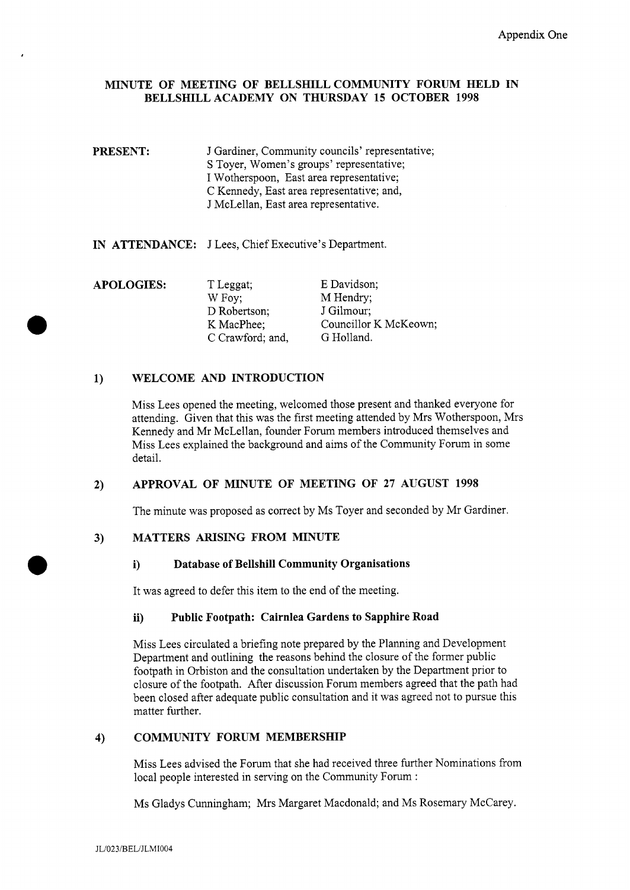## **MINUTE OF MEETING OF BELLSHILLCOMMUNITY FORUM HELD IN BELLSHILL ACADEMY ON THURSDAY 15 OCTOBER 1998**

- **PRESENT:** J Gardiner, Community councils' representative; **S** Toyer, Women's groups' representative; I Wotherspoon, East area representative; C Kennedy, East area representative; and, J McLellan, East area representative.
- **IN ATTENDANCE:** J Lees, Chief Executive's Department.

| <b>APOLOGIES:</b> | T Leggat;        | E Davidson;           |
|-------------------|------------------|-----------------------|
|                   | W Foy;           | M Hendry;             |
|                   | D Robertson;     | J Gilmour;            |
|                   | K MacPhee;       | Councillor K McKeown; |
|                   | C Crawford; and, | G Holland.            |

#### **WELCOME AND INTRODUCTION**   $1)$

Miss Lees opened the meeting, welcomed those present and thanked everyone for attending. Given that this was the first meeting attended by Mrs Wotherspoon, Mrs Kennedy and Mr McLellan, founder Forum members introduced themselves and Miss Lees explained the background and aims of the Community Forum in some detail.

#### **APPROVAL OF MINUTE OF MEETING OF 27 AUGUST 1998**   $2)$

The minute was proposed as correct by Ms Toyer and seconded by Mr Gardiner.

#### **MATTERS ARISING FROM MINUTE**   $3)$

### **i) Database of Bellshill Community Organisations**

It was agreed to defer this item to the end of the meeting.

### **ii) Public Footpath: Cairnlea Gardens to Sapphire Road**

Miss Lees circulated a briefing note prepared by the Planning and Development Department and outlining the reasons behind the closure of the former public footpath in Orbiston and the consultation undertaken by the Department prior to closure of the footpath. After discussion Forum members agreed that the path had been closed after adequate public consultation and it was agreed not to pursue this matter further.

#### **COMMUNITY FORUM MEMBERSHIP**   $4)$

Miss Lees advised the Forum that she had received three further Nominations from local people interested in serving on the Community Forum :

Ms Gladys Cunningham; Mrs Margaret Macdonald; and Ms Rosemary McCarey.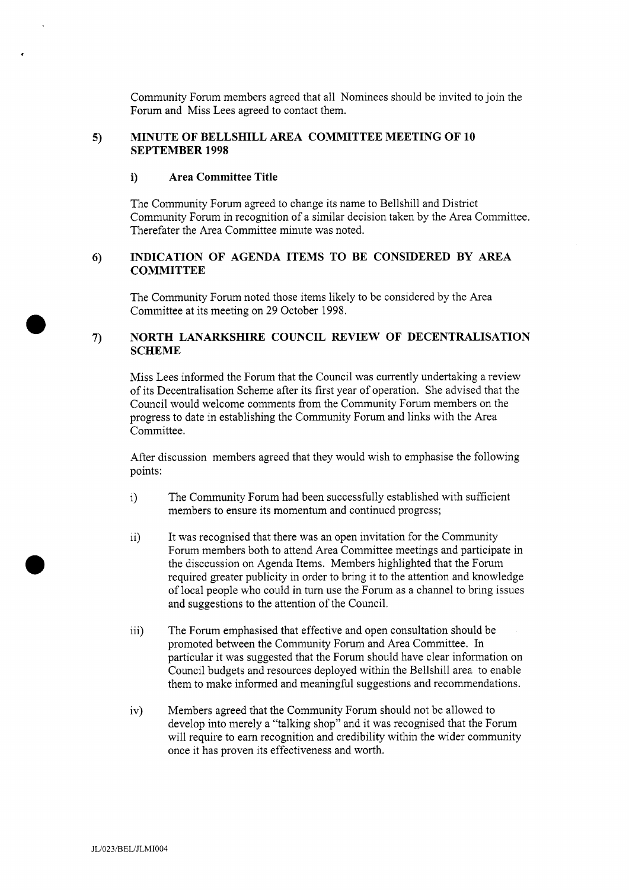Community Forum members agreed that all Nominees should be invited to join the Forum and Miss Lees agreed to contact them.

### **5) MINUTE OF BELLSHILL AREA COMMITTEE MEETING OF 10 SEPTEMBER 1998**

# **i) Area Committee Title**

,

*0* 

The Community Forum agreed to change its name to Bellshill and District Community Forum in recognition of a similar decision taken by the Area Committee. Therefater the Area Committee minute was noted.

#### $6)$ **INDICATION OF AGENDA ITEMS TO BE CONSIDERED BY AREA COMMITTEE**

The Community Forum noted those items likely to be considered by the Area Committee at its meeting on 29 October 1998.

### **7) NORTH LANARKSHIRE COUNCIL REVIEW OF DECENTRALISATION SCHEME**

Miss Lees informed the Forum that the Council was currently undertaking a review of its Decentralisation Scheme after its first year of operation. She advised that the Council would welcome comments from the Community Forum members on the progress to date in establishing the Community Forum and links with the Area Committee.

After discussion members agreed that they would wish to emphasise the following points:

- 1) The Community Forum had been successfully established with sufficient members to ensure its momentum and continued progress;
- $ii)$ It was recognised that there was an open invitation for the Community Forum members both to attend Area Committee meetings and participate in the disccussion on Agenda Items. Members highlighted that the Forum required greater publicity in order to bring it to the attention and knowledge of local people who could in turn use the Forum as a channel to bring issues and suggestions to the attention of the Council.
- iii) The Forum emphasised that effective and open consultation should be promoted between the Community Forum and Area Committee. In particular it was suggested that the Forum should have clear information on Council budgets and resources deployed within the Bellshill area to enable them to make informed and meaningful suggestions and recommendations.
- iv) Members agreed that the Community Forum should not be allowed to develop into merely a "talking shop" and it was recognised that the Forum will require to earn recognition and credibility within the wider community once it has proven its effectiveness and worth.